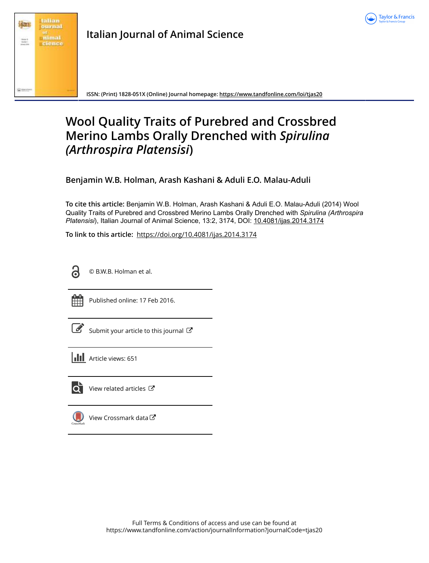



**Italian Journal of Animal Science**

**ISSN: (Print) 1828-051X (Online) Journal homepage: <https://www.tandfonline.com/loi/tjas20>**

# **Wool Quality Traits of Purebred and Crossbred Merino Lambs Orally Drenched with** *Spirulina (Arthrospira Platensisi***)**

**Benjamin W.B. Holman, Arash Kashani & Aduli E.O. Malau-Aduli**

**To cite this article:** Benjamin W.B. Holman, Arash Kashani & Aduli E.O. Malau-Aduli (2014) Wool Quality Traits of Purebred and Crossbred Merino Lambs Orally Drenched with *Spirulina(Arthrospira Platensisi*), Italian Journal of Animal Science, 13:2, 3174, DOI: [10.4081/ijas.2014.3174](https://www.tandfonline.com/action/showCitFormats?doi=10.4081/ijas.2014.3174)

**To link to this article:** <https://doi.org/10.4081/ijas.2014.3174>



© B.W.B. Holman et al.



Published online: 17 Feb 2016.

[Submit your article to this journal](https://www.tandfonline.com/action/authorSubmission?journalCode=tjas20&show=instructions)  $\mathbb{Z}$ 

**III** Article views: 651



 $\overline{\mathbf{Q}}$  [View related articles](https://www.tandfonline.com/doi/mlt/10.4081/ijas.2014.3174)  $\mathbf{C}$ 



[View Crossmark data](http://crossmark.crossref.org/dialog/?doi=10.4081/ijas.2014.3174&domain=pdf&date_stamp=2016-02-17) $\bm{\mathcal{C}}$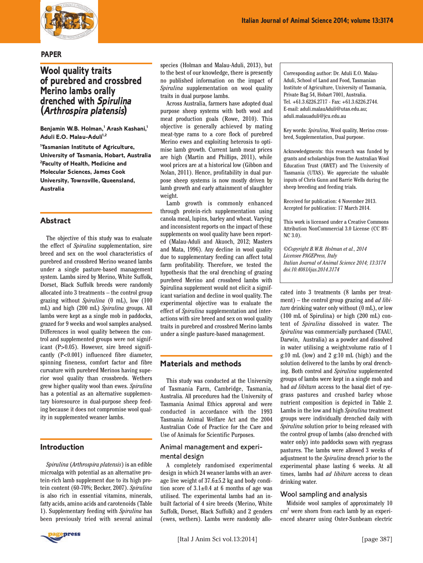

#### **PAPER**

# **Wool quality traits of purebred and crossbred Merino lambs orally drenched with Spirulina (Arthrospira platensis)**

**Benjamin W.B. Holman,<sup>1</sup> Arash Kashani,<sup>1</sup> Aduli E.O. Malau-Aduli**<sup>1,2</sup>

**1 Tasmanian Institute of Agriculture, University of Tasmania, Hobart, Australia 2 Faculty of Health, Medicine and Molecular Sciences, James Cook University, Townsville, Queensland, Australia**

#### **Abstract**

The objective of this study was to evaluate the effect of *Spirulina* supplementation, sire breed and sex on the wool characteristics of purebred and crossbred Merino weaned lambs under a single pasture-based management system. Lambs sired by Merino, White Suffolk, Dorset, Black Suffolk breeds were randomly allocated into 3 treatments – the control group grazing without *Spirulina* (0 mL), low (100 mL) and high (200 mL) *Spirulina* groups. All lambs were kept as a single mob in paddocks, grazed for 9 weeks and wool samples analysed. Differences in wool quality between the control and supplemented groups were not significant (P>0.05). However, sire breed significantly (P<0.001) influenced fibre diameter, spinning fineness, comfort factor and fibre curvature with purebred Merinos having superior wool quality than crossbreds. Wethers grew higher quality wool than ewes. *Spirulina* has a potential as an alternative supplementary bioresource in dual-purpose sheep feeding because it does not compromise wool quality in supplemented weaner lambs.

# **Introduction**

*Spirulina* (*Arthrospira platensis*) is an edible microalga with potential as an alternative protein-rich lamb supplement due to its high protein content (60-70%; Becker, 2007). *Spirulina* is also rich in essential vitamins, minerals, fatty acids, amino acids and carotenoids (Table 1). Supplementary feeding with *Spirulina* has been previously tried with several animal



species (Holman and Malau-Aduli, 2013), but to the best of our knowledge, there is presently no published information on the impact of *Spirulina* supplementation on wool quality traits in dual purpose lambs.

Across Australia, farmers have adopted dual purpose sheep systems with both wool and meat production goals (Rowe, 2010). This objective is generally achieved by mating meat-type rams to a core flock of purebred Merino ewes and exploiting heterosis to optimise lamb growth. Current lamb meat prices are high (Martin and Phillips, 2011), while wool prices are at a historical low (Gibbon and Nolan, 2011). Hence, profitability in dual purpose sheep systems is now mostly driven by lamb growth and early attainment of slaughter weight.

Lamb growth is commonly enhanced through protein-rich supplementation using canola meal, lupins, barley and wheat. Varying and inconsistent reports on the impact of these supplements on wool quality have been reported (Malau-Aduli and Akuoch, 2012; Masters and Mata, 1996). Any decline in wool quality due to supplementary feeding can affect total farm profitability. Therefore, we tested the hypothesis that the oral drenching of grazing purebred Merino and crossbred lambs with Spirulina supplement would not elicit a significant variation and decline in wool quality. The experimental objective was to evaluate the effect of *Spirulina* supplementation and interactions with sire breed and sex on wool quality traits in purebred and crossbred Merino lambs under a single pasture-based management.

# **Materials and methods**

This study was conducted at the University of Tasmania Farm, Cambridge, Tasmania, Australia. All procedures had the University of Tasmania Animal Ethics approval and were conducted in accordance with the 1993 Tasmania Animal Welfare Act and the 2004 Australian Code of Practice for the Care and Use of Animals for Scientific Purposes.

#### Animal management and experimental design

A completely randomised experimental design in which 24 weaner lambs with an average live weight of 37.6±5.2 kg and body condition score of  $3.1 \pm 0.4$  at 6 months of age was utilised. The experimental lambs had an inbuilt factorial of 4 sire breeds (Merino, White Suffolk, Dorset, Black Suffolk) and 2 genders (ewes, wethers). Lambs were randomly alloCorresponding author: Dr. Aduli E.O. Malau-Aduli, School of Land and Food, Tasmanian Institute of Agriculture, University of Tasmania, Private Bag 54, Hobart 7001, Australia. Tel. +61.3.6226.2717 - Fax: +61.3.6226.2744. E-mail: aduli.malauAduli@utas.edu.au; aduli.malauaduli@jcu.edu.au

Key words: *Spirulina*, Wool quality, Merino crossbred, Supplementation, Dual purpose.

Acknowledgments: this research was funded by grants and scholarships from the Australian Wool Education Trust (AWET) and The University of Tasmania (UTAS). We appreciate the valuable inputs of Chris Gunn and Barrie Wells during the sheep breeding and feeding trials.

Received for publication: 4 November 2013. Accepted for publication: 17 March 2014.

This work is licensed under a Creative Commons Attribution NonCommercial 3.0 License (CC BY-NC 3.0).

*©Copyright B.W.B. Holman et al., 2014 Licensee PAGEPress, Italy Italian Journal of Animal Science 2014; 13:3174 doi:10.4081/ijas.2014.3174*

cated into 3 treatments (8 lambs per treatment) – the control group grazing and *ad libitum* drinking water only without (0 mL), or low (100 mL of Spirulina) or high (200 mL) content of *Spirulina* dissolved in water. The *Spirulina* was commercially purchased (TAAU, Darwin, Australia) as a powder and dissolved in water utilising a weight:volume ratio of 1 g:10 mL (low) and 2 g:10 mL (high) and the solution delivered to the lambs by oral drenching. Both control and *Spirulina* supplemented groups of lambs were kept in a single mob and had *ad libitum* access to the basal diet of ryegrass pastures and crushed barley whose nutrient composition is depicted in Table 2. Lambs in the low and high *Spirulina* treatment groups were individually drenched daily with *Spirulina* solution prior to being released with the control group of lambs (also drenched with water only) into paddocks sown with ryegrass pastures. The lambs were allowed 3 weeks of adjustment to the *Spirulina* drench prior to the experimental phase lasting 6 weeks. At all times, lambs had *ad libitum* access to clean drinking water.

#### Wool sampling and analysis

Midside wool samples of approximately 10 cm<sup>2</sup> were shorn from each lamb by an experienced shearer using Oster-Sunbeam electric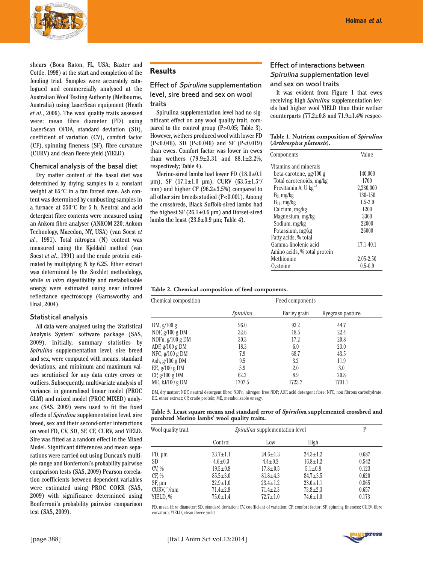

shears (Boca Raton, FL, USA; Baxter and Cottle, 1998) at the start and completion of the feeding trial. Samples were accurately catalogued and commercially analysed at the Australian Wool Testing Authority (Melbourne, Australia) using LaserScan equipment (Heath *et al.*, 2006). The wool quality traits assessed were: mean fibre diameter (FD) using LaserScan OFDA, standard deviation (SD), coefficient of variation (CV), comfort factor (CF), spinning fineness (SF), fibre curvature (CURV) and clean fleece yield (YIELD).

#### Chemical analysis of the basal diet

Dry matter content of the basal diet was determined by drying samples to a constant weight at 65°C in a fan forced oven. Ash content was determined by combusting samples in a furnace at 550°C for 5 h. Neutral and acid detergent fibre contents were measured using an Ankom fibre analyser (ANKOM 220; Ankom Technology, Macedon, NY, USA) (van Soest *et al.*, 1991). Total nitrogen (N) content was measured using the Kjeldahl method (van Soest *et al*., 1991) and the crude protein estimated by multiplying N by 6.25. Ether extract was determined by the Soxhlet methodology, while *in vitro* digestibility and metabolisable energy were estimated using near infrared reflectance spectroscopy (Garnsworthy and Unal, 2004).

#### Statistical analysis

All data were analysed using the 'Statistical Analysis System' software package (SAS, 2009). Initially, summary statistics by *Spirulina* supplementation level, sire breed and sex, were computed with means, standard deviations, and minimum and maximum values scrutinised for any data entry errors or outliers. Subsequently, multivariate analysis of variance in generalised linear model (PROC GLM) and mixed model (PROC MIXED) analyses (SAS, 2009) were used to fit the fixed effects of *Spirulina* supplementation level, sire breed, sex and their second-order interactions on wool FD, CV, SD, SF, CF, CURV, and YIELD. Sire was fitted as a random effect in the Mixed Model. Significant differences and mean separations were carried out using Duncan's multiple range and Bonferroni's probability pairwise comparison tests (SAS, 2009) Pearson correlation coefficients between dependent variables were estimated using PROC CORR (SAS, 2009) with significance determined using Bonferroni's probability pairwise comparison test (SAS, 2009).

#### **Results**

# Effect of Spirulina supplementation level, sire breed and sex on wool traits

Spirulina supplementation level had no significant effect on any wool quality trait, compared to the control group (P>0.05; Table 3). However, wethers produced wool with lower FD (P<0.046), SD (P<0.046) and SF (P<0.019) than ewes. Comfort factor was lower in ewes than wethers  $(79.9 \pm 3.31)$  and  $88.1 \pm 2.2\%$ , respectively; Table 4).

Merino-sired lambs had lower FD (18.0±0.1 µm), SF (17.1±1.0 µm), CURV (63.5±1.5°/ mm) and higher CF (96.2±3.5%) compared to all other sire breeds studied (P<0.001). Among the crossbreds, Black Suffolk-sired lambs had the highest SF  $(26.1 \pm 0.6 \,\mu m)$  and Dorset-sired lambs the least  $(23.8\pm0.9 \,\text{\textmu m}$ ; Table 4).

# Effect of interactions between Spirulina supplementation level and sex on wool traits

It was evident from Figure 1 that ewes receiving high *Spirulina* supplementation levels had higher wool YIELD than their wether counterparts (77.2 $\pm$ 0.8 and 71.9 $\pm$ 1.4% respec-

| Table 1. Nutrient composition of Spirulina |  |  |
|--------------------------------------------|--|--|
| (Arthrospira platensis).                   |  |  |

| Components                   | Value         |
|------------------------------|---------------|
| Vitamins and minerals        |               |
| beta-carotene, µg/100 g      | 140,000       |
| Total carotenoids, mg/kg     | 1700          |
| Provitamin A, U $kg^{-1}$    | 2,330,000     |
| $B_3$ mg/kg                  | 130-150       |
| $B_{12}$ , mg/kg             | $1.5 - 2.0$   |
| Calcium, mg/kg               | 1200          |
| Magnesium, mg/kg             | 3300          |
| Sodium, mg/kg                | 22000         |
| Potassium, mg/kg             | 26000         |
| Fatty acids, % total         |               |
| Gamma-linolenic acid         | $17.1 - 40.1$ |
| Amino acids, % total protein |               |
| Methionine                   | 2.05-2.50     |
| Cysteine                     | $0.5 - 0.9$   |
|                              |               |

| Table 2. Chemical composition of feed components. |  |  |  |
|---------------------------------------------------|--|--|--|
|---------------------------------------------------|--|--|--|

| Feed components |              |                  |  |  |
|-----------------|--------------|------------------|--|--|
| Spirulina       | Barley grain | Ryegrass pasture |  |  |
| 96.0            | 93.2         | 44.7             |  |  |
| 32.6            | 18.5         | 22.4             |  |  |
| 30.3            | 17.2         | 20.8             |  |  |
| 18.3            | 6.0          | 23.0             |  |  |
| 7.9             | 68.7         | 43.5             |  |  |
| 9.5             | 3.2          | 11.9             |  |  |
| 5.9             | 2.0          | 3.0              |  |  |
| 62.2            | 8.9          | 20.8             |  |  |
| 1707.5          | 1723.7       | 1701.1           |  |  |
|                 |              |                  |  |  |

DM, dry matter; NDF, neutral detergent fibre; NDFn, nitrogen free NDF; ADF, acid detergent fibre; NFC, non fibrous carbohydrate; EE, ether extract; CP, crude protein; ME, metabolisable energy.

#### **Table 3. Least square means and standard error of** *Spirulin***a supplemented crossbred and purebred Merino lambs' wool quality traits.**

| Wool quality trait  | <i>Spirulina</i> supplementation level | P              |                |       |
|---------------------|----------------------------------------|----------------|----------------|-------|
|                     | Control                                | Low            | High           |       |
| $FD, \mu m$         | $23.7 \pm 1.1$                         | $24.6 \pm 1.3$ | $24.3 \pm 1.2$ | 0.687 |
| SD <sub>1</sub>     | $4.6 \pm 0.3$                          | $4.4 \pm 0.2$  | $16.8 \pm 1.2$ | 0.542 |
| CV, %               | $19.5 \pm 0.8$                         | $17.8 \pm 0.5$ | $5.1 \pm 0.8$  | 0.123 |
| CF, %               | $85.5 \pm 3.0$                         | $81.8 \pm 4.3$ | $84.7 \pm 3.5$ | 0.620 |
| $SF, \mu m$         | $22.9 \pm 1.0$                         | $23.4 \pm 1.2$ | $23.0 \pm 1.1$ | 0.865 |
| CURV, $\degree$ /mm | $71.4 \pm 2.8$                         | $71.4 \pm 2.3$ | $73.8 \pm 2.3$ | 0.657 |
| YIELD, %            | $75.0 \pm 1.4$                         | $72.7 \pm 1.0$ | $74.6 \pm 1.0$ | 0.173 |

FD, mean fibre diameter; SD, standard deviation; CV, coefficient of variation; CF, comfort factor; SF, spinning fineness; CURV, fibre curvature; YIELD, clean fleece yield.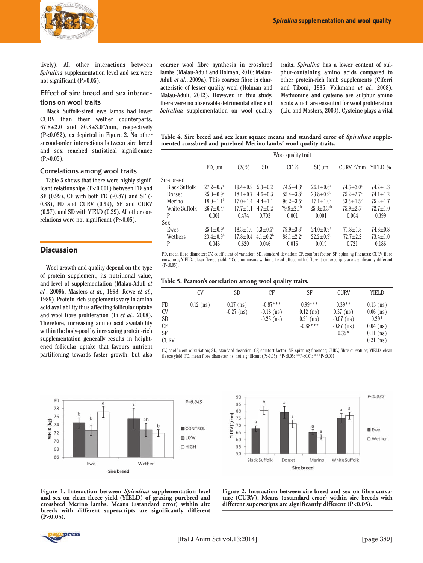

tively). All other interactions between *Spirulina* supplementation level and sex were not significant (P>0.05).

# Effect of sire breed and sex interactions on wool traits

Black Suffolk-sired ewe lambs had lower CURV than their wether counterparts,  $67.8\pm2.0$  and  $80.8\pm3.0^{\circ}/\text{mm}$ , respectively (P<0.032), as depicted in Figure 2. No other second-order interactions between sire breed and sex reached statistical significance  $(P>0.05)$ .

#### Correlations among wool traits

Table 5 shows that there were highly significant relationships (P<0.001) between FD and SF (0.99), CF with both FD (-0.87) and SF (- 0.88), FD and CURV (0.39), SF and CURV (0.37), and SD with YIELD (0.29). All other correlations were not significant (P>0.05).

#### **Discussion**

Wool growth and quality depend on the type of protein supplement, its nutritional value, and level of supplementation (Malau-Aduli *et al.*, 2009b; Masters *et al.*, 1998; Rowe *et al.*, 1989). Protein-rich supplements vary in amino acid availability thus affecting follicular uptake and wool fibre proliferation (Li *et al.*, 2008). Therefore, increasing amino acid availability within the body-pool by increasing protein-rich supplementation generally results in heightened follicular uptake that favours nutrient partitioning towards faster growth, but also

coarser wool fibre synthesis in crossbred lambs (Malau-Aduli and Holman, 2010; Malau-Aduli *et al.*, 2009a). This coarser fibre is characteristic of lesser quality wool (Holman and Malau-Aduli, 2012). However, in this study, there were no observable detrimental effects of *Spirulina* supplementation on wool quality

traits. *Spirulina* has a lower content of sulphur-containing amino acids compared to other protein-rich lamb supplements (Ciferri and Tiboni, 1985; Volkmann *et al.*, 2008). Methionine and cysteine are sulphur amino acids which are essential for wool proliferation (Liu and Masters, 2003). Cysteine plays a vital

**Table 4. Sire breed and sex least square means and standard error of** *Spirulina* **supplemented crossbred and purebred Merino lambs' wool quality traits.**

|                      | Wool quality trait     |                |                     |                              |                        |                              |                |
|----------------------|------------------------|----------------|---------------------|------------------------------|------------------------|------------------------------|----------------|
|                      | $FD, \mu m$            | CV, %          | <b>SD</b>           | CF, %                        | $SF, \mu m$            | CURV, $\degree$ /mm YIELD, % |                |
| Sire breed           |                        |                |                     |                              |                        |                              |                |
| <b>Black Suffolk</b> | $27.2 \pm 0.7^{\circ}$ | $19.4 \pm 0.9$ | $5.3 + 0.2$         | $74.5 + 4.3$ <sup>c</sup>    | $26.1 \pm 0.6^a$       | $74.3 \pm 3.0^{\circ}$       | $74.2 \pm 1.3$ |
| Dorset               | $25.0 \pm 0.9^{\circ}$ | $18.1 \pm 0.7$ | $4.6 + 0.3$         | $85.4 \pm 3.8^{\circ}$       | $23.8 \pm 0.9^{\circ}$ | $75.2 \pm 2.7$ <sup>a</sup>  | $74.1 \pm 1.2$ |
| Merino               | $18.0 \pm 1.1^{\rm b}$ | $17.0 \pm 1.4$ | $4.4 \pm 1.1$       | $96.2 \pm 3.5^{\circ}$       | $17.1 \pm 1.0^{\circ}$ | $63.5 \pm 1.5^{\rm b}$       | $75.2 \pm 1.7$ |
| White Suffolk        | $26.7 \pm 0.4^{\circ}$ | $17.7 + 1.1$   | $4.7 + 0.2$         | $79.9 \pm 2.1$ <sup>bc</sup> | $25.3 \pm 0.3^{ab}$    | $75.9 + 2.5^{\circ}$         | $72.7 \pm 1.0$ |
| P                    | 0.001                  | 0.474          | 0.703               | 0.001                        | 0.001                  | 0.004                        | 0.399          |
| Sex                  |                        |                |                     |                              |                        |                              |                |
| Ewes                 | $25.1 \pm 0.9^{\circ}$ | $18.3 + 1.0$   | $5.3 + 0.5^{\circ}$ | $79.9 \pm 3.3^{\rm b}$       | $24.0 \pm 0.9^{\circ}$ | $71.8 \pm 1.8$               | $74.8 \pm 0.8$ |
| Wethers              | $23.4 \pm 0.9^{\circ}$ | $17.8 \pm 0.4$ | $4.1 + 0.2^{b}$     | $88.1 \pm 2.2$ <sup>a</sup>  | $22.2 \pm 0.9^{\rm b}$ | $72.7 + 2.2$                 | $73.4 \pm 1.0$ |
| P                    | 0.046                  | 0.620          | 0.046               | 0.016                        | 0.019                  | 0.721                        | 0.186          |

FD, mean fibre diameter; CV, coefficient of variation; SD, standard deviation; CF, comfort factor; SF, spinning fineness; CURV, fibre curvature; YIELD, clean fleece yield. <sup>ac</sup>Column means within a fixed effect with different superscripts are significantly different  $(P<0.05)$ 

|  |  |  | Table 5. Pearson's correlation among wool quality traits. |  |  |  |  |
|--|--|--|-----------------------------------------------------------|--|--|--|--|
|--|--|--|-----------------------------------------------------------|--|--|--|--|

|                                                         | CV          | SD                          | СF                                         | SF                                                    | <b>CURV</b>                                                        | YIELD                                                                              |
|---------------------------------------------------------|-------------|-----------------------------|--------------------------------------------|-------------------------------------------------------|--------------------------------------------------------------------|------------------------------------------------------------------------------------|
| <b>FD</b><br><b>CV</b><br>SD<br>СF<br>SF<br><b>CURV</b> | $0.12$ (ns) | $0.17$ (ns)<br>$-0.27$ (ns) | $-0.87***$<br>$-0.18$ (ns)<br>$-0.25$ (ns) | $0.99***$<br>$0.12$ (ns)<br>$0.21$ (ns)<br>$-0.88***$ | $0.39**$<br>$0.37$ (ns)<br>$-0.07$ (ns)<br>$-0.87$ (ns)<br>$0.35*$ | $0.13$ (ns)<br>$0.06$ (ns)<br>$0.29*$<br>$0.04$ (ns)<br>$0.11$ (ns)<br>$0.21$ (ns) |
|                                                         |             |                             |                                            |                                                       |                                                                    |                                                                                    |

CV, coefficient of variation; SD, standard deviation; CF, comfort factor; SF, spinning fineness; CURV, fibre curvature; YIELD, clean fleece yield; FD, mean fibre diameter. ns, not significant (P>0.05); \*P<0.05; \*\*P<0.01; \*\*\*P<0.001.





**Figure 1. Interaction between** *Spirulina* **supplementation level and sex on clean fleece yield (YIELD) of grazing purebred and crossbred Merino lambs. Means (±standard error) within sire breeds with different superscripts are significantly different (P<0.05).**

**Figure 2. Interaction between sire breed and sex on fibre curvature (CURV). Means (±standard error) within sire breeds with different superscripts are significantly different (P<0.05).**

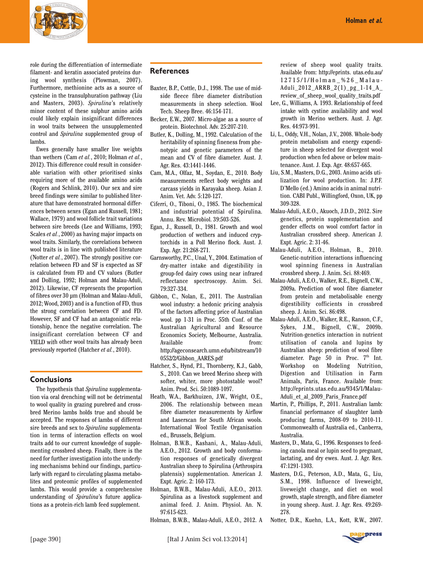

role during the differentiation of intermediate filament- and keratin associated proteins during wool synthesis (Plowman, 2007). Furthermore, methionine acts as a source of cysteine in the transulphuration pathway (Liu and Masters, 2003). *Spirulina*'s relatively minor content of these sulphur amino acids could likely explain insignificant differences in wool traits between the unsupplemented control and *Spirulina* supplemented group of lambs.

Ewes generally have smaller live weights than wethers (Cam *et al.*, 2010; Holman *et al.*, 2012). This difference could result in considerable variation with other prioritised sinks requiring more of the available amino acids (Rogers and Schlink, 2010). Our sex and sire breed findings were similar to published literature that have demonstrated hormonal differences between sexes (Egan and Russell, 1981; Wallace, 1979) and wool follicle trait variations between sire breeds (Lee and Williams, 1993; Scales *et al.*, 2000) as having major impacts on wool traits. Similarly, the correlations between wool traits is in line with published literature (Notter *et al.*, 2007). The strongly positive correlation between FD and SF is expected as SF is calculated from FD and CV values (Butler and Dolling, 1992; Holman and Malau-Aduli, 2012). Likewise, CF represents the proportion of fibres over 30 µm (Holman and Malau-Aduli, 2012; Wood, 2003) and is a function of FD, thus the strong correlation between CF and FD. However, SF and CF had an antagonistic relationship, hence the negative correlation. The insignificant correlation between CF and YIELD with other wool traits has already been previously reported (Hatcher *et al.*, 2010).

# **Conclusions**

The hypothesis that *Spirulina* supplementation via oral drenching will not be detrimental to wool quality in grazing purebred and crossbred Merino lambs holds true and should be accepted. The responses of lambs of different sire breeds and sex to *Spirulina* supplementation in terms of interaction effects on wool traits add to our current knowledge of supplementing crossbred sheep. Finally, there is the need for further investigation into the underlying mechanisms behind our findings, particularly with regard to circulating plasma metabolites and proteomic profiles of supplemented lambs. This would provide a comprehensive understanding of *Spirulina*'s future applications as a protein-rich lamb feed supplement.

# **References**

- Baxter, B.P., Cottle, D.J., 1998. The use of midside fleece fibre diameter distribution measurements in sheep selection. Wool Tech. Sheep Bree. 46:154-171.
- Becker, E.W., 2007. Micro-algae as a source of protein. Biotechnol. Adv. 25:207-210.
- Butler, K., Dolling, M., 1992. Calculation of the heritability of spinning fineness from phenotypic and genetic parameters of the mean and CV of fibre diameter. Aust. J. Agr. Res. 43:1441-1446.
- Cam, M.A., Olfaz, M., Soydan, E., 2010. Body measurements reflect body weights and carcass yields in Karayaka sheep. Asian J. Anim. Vet. Adv. 5:120-127.
- Ciferri, O., Tiboni, O., 1985. The biochemical and industrial potential of Spirulina. Annu. Rev. Microbiol. 39:503-526.
- Egan, J., Russell, D., 1981. Growth and wool production of wethers and induced cryptorchids in a Poll Merino flock. Aust. J. Exp. Agr. 21:268-271.
- Garnsworthy, P.C., Unal, Y., 2004. Estimation of dry-matter intake and digestibility in group-fed dairy cows using near infrared reflectance spectroscopy. Anim. Sci. 79:327-334.
- Gibbon, C., Nolan, E., 2011. The Australian wool industry: a hedonic pricing analysis of the factors affecting price of Australian wool. pp 1-31 in Proc. 55th Conf. of the Australian Agricultural and Resource Economics Society, Melbourne, Australia. Available from: http://ageconsearch.umn.edu/bitstream/10 0552/2/Gibbon\_AARES.pdf
- Hatcher, S., Hynd, P.I., Thornberry, K.J., Gabb, S., 2010. Can we breed Merino sheep with softer, whiter, more photostable wool? Anim. Prod. Sci. 50:1089-1097.
- Heath, W.A., Barkhuizen, J.W., Wright, O.E., 2006. The relationship between mean fibre diameter measurements by Airflow and Laserscan for South African wools. International Wool Textile Organisation ed., Brussels, Belgium.
- Holman, B.W.B., Kashani, A., Malau-Aduli, A.E.O., 2012. Growth and body conformation responses of genetically divergent Australian sheep to Spirulina (Arthrospira platensis) supplementation. American J. Expt. Agric. 2: 160-173.
- Holman, B.W.B., Malau-Aduli, A.E.O., 2013. Spirulina as a livestock supplement and animal feed. J. Anim. Physiol. An. N. 97:615-623.
- Holman, B.W.B., Malau-Aduli, A.E.O., 2012. A

review of sheep wool quality traits. Available from: http://eprints. utas.edu.au/ 1 2 7 1 5 / 1 / H o l m a n \_ % 2 6 \_ M a l a u - Aduli\_2012\_ARRB\_2(1)\_pg\_1-14\_A\_ review\_of\_sheep\_wool\_quality\_traits.pdf

- Lee, G., Williams, A. 1993. Relationship of feed intake with cystine availability and wool growth in Merino wethers. Aust. J. Agr. Res. 44:973-991.
- Li, L., Oddy, V.H., Nolan, J.V., 2008. Whole-body protein metabolism and energy expenditure in sheep selected for divergent wool production when fed above or below maintenance. Aust. J. Exp. Agr. 48:657-665.
- Liu, S.M., Masters, D.G., 2003. Animo acids utilization for wool production. In: J.P.F. D'Mello (ed.) Amino acids in animal nutrition. CABI Publ., Willingford, Oxon, UK, pp 309-328.
- Malau-Aduli, A.E.O., Akuoch, J.D.D., 2012. Sire genetics, protein supplementation and gender effects on wool comfort factor in Australian crossbred sheep. American J. Expt. Agric. 2: 31-46.
- Malau-Aduli, A.E.O., Holman, B., 2010. Genetic-nutrition interactions influencing wool spinning fineness in Australian crossbred sheep. J. Anim. Sci. 88:469.
- Malau-Aduli, A.E.O., Walker, R.E., Bignell, C.W., 2009a. Prediction of wool fibre diameter from protein and metabolisable energy digestibility cofficients in crossbred sheep. J. Anim. Sci. 86:498.
- Malau-Aduli, A.E.O., Walker, R.E., Ranson, C.F., Sykes, J.M., Bignell, C.W., 2009b. Nutrition-genetics interaction in nutrient utilisation of canola and lupins by Australian sheep: prediction of wool fibre diameter. Page  $50$  in Proc.  $7<sup>th</sup>$  Int. Workshop on Modeling Nutrition, Digestion and Utilisation in Farm Animals, Paris, France. Available from: http://eprints.utas.edu.au/9345/1/Malau-Aduli\_et\_al\_2009\_Paris\_France.pdf
- Martin, P., Phillips, P., 2011. Australian lamb: financial performance of slaughter lamb producing farms, 2008-09 to 2010-11. Commonwealth of Australia ed., Canberra, Australia.
- Masters, D., Mata, G., 1996. Responses to feeding canola meal or lupin seed to pregnant, lactating, and dry ewes. Aust. J. Agr. Res. 47:1291-1303.
- Masters, D.G., Peterson, A.D., Mata, G., Liu, S.M., 1998. Influence of liveweight, liveweight change, and diet on wool growth, staple strength, and fibre diameter in young sheep. Aust. J. Agr. Res. 49:269- 278.
- Notter, D.R., Kuehn, L.A., Kott, R.W., 2007.